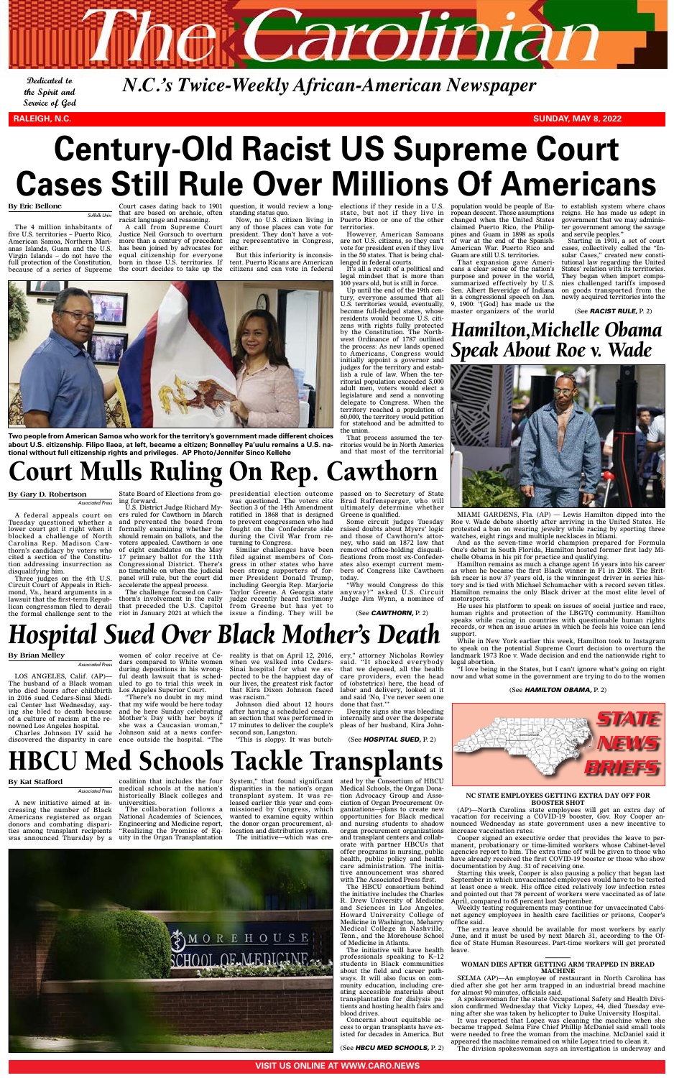*N.C.'s Twice-Weekly African-American Newspaper* **Dedicated to** 

**the Spirit and Service of God**

**RALEIGH, N.C. SUNDAY, MAY 8, 2022**

### **NC STATE EMPLOYEES GETTING EXTRA DAY OFF FOR BOOSTER SHOT**

(AP)—North Carolina state employees will get an extra day of vacation for receiving a COVID-19 booster, Gov. Roy Cooper announced Wednesday as state government uses a new incentive to increase vaccination rates.

Cooper [signed an executive order](https://governor.nc.gov/media/3229/open) that provides the leave to permanent, probationary or time-limited workers whose Cabinet-level agencies report to him. The extra time off will be given to those who have already received the first COVID-19 booster or those who show documentation by Aug. 31 of receiving one.

Starting this week, Cooper is also pausing a policy that began last September in which unvaccinated employees would have to be tested at least once a week. His office cited relatively low infection rates and pointed out that 78 percent of workers were vaccinated as of late April, compared to 65 percent last September.

Weekly testing requirements may continue for unvaccinated Cabinet agency employees in health care facilities or prisons, Cooper's office said.

The extra leave should be available for most workers by early June, and it must be used by next March 31, [according to the Of](https://oshr.nc.gov/media/4711/open)[fice of State Human Resources.](https://oshr.nc.gov/media/4711/open) Part-time workers will get prorated leave.

### **———— WOMAN DIES AFTER GETTING ARM TRAPPED IN BREAD MACHINE**

SELMA (AP)—An employee of restaurant in North Carolina has died after she got her arm trapped in an industrial bread machine for almost 90 minutes, officials said.

coalition that includes the four System," that found significant ated by the Consortium of HBCU disparities in the nation's organ transplant system. It was [re](https://apnews.com/article/science-health-organ-transplants-daf56643587acbbb77990b1f2f900cff)[leased earlier this year](https://apnews.com/article/science-health-organ-transplants-daf56643587acbbb77990b1f2f900cff) and commissioned by Congress, which wanted to examine equity within the donor organ procurement, allocation and distribution system. The initiative—which was cre-**BCU Med Schools Tackle Transplants** 



A spokeswoman for the state Occupational Safety and Health Division confirmed Wednesday that Vicky Lopez, 44, died Tuesday evening after she was taken by helicopter to Duke University Hospital.

It was reported that Lopez was cleaning the machine when she became trapped. Selma Fire Chief Phillip McDaniel said small tools were needed to free the woman from the machine. McDaniel said it appeared the machine remained on while Lopez tried to clean it.

The division spokeswoman says an investigation is underway and



**[By Eric Bellone](https://newsroom.ap.org/home/search/?query=byline:%22KATE BRUMBACK%22&mediaType=text&st=keyword&sortOrder=newest)**

The 4 million inhabitants of five U.S. territories – Puerto Rico, American Samoa, Northern Marianas Islands, Guam and the U.S. Virgin Islands – do not have the full protection of the Constitution, because of a series of Supreme

Suffolk Univ. Court cases dating back to 1901 that are based on archaic, often standing status quo. racist language and reasoning.

# **Century-Old Racist US Supreme Court Cases Still Rule Over Millions Of Americans**

question, it would review a long-

A call from Supreme Court Justice Neil Gorsuch to overturn more than a century of precedent has been joined by advocates for equal citizenship for everyone born in those U.S. territories. If tent. Puerto Ricans are American the court decides to take up the citizens and can vote in federal

Now, no U.S. citizen living in any of those places can vote for president. They don't have a voting representative in Congress, either.

But this inferiority is inconsis-



(See RACIST RULE, P. 2)

### **[By Kat Stafford](https://newsroom.ap.org/home/search/?query=byline:%22KAT STAFFORD%22&mediaType=text&st=keyword&sortOrder=newest)**

[Associated Press](https://newsroom.ap.org/home/search/?query=byline:%22KAT STAFFORD%22&mediaType=text&st=keyword&sortOrder=newest)

A new initiative aimed at increasing the number of Black Americans registered as organ donors and combating disparities among transplant recipients was announced Thursday by a

medical schools at the nation's historically Black colleges and universities.

The collaboration follows a National Academies of Sciences, Engineering and Medicine report, "Realizing the Promise of Equity in the Organ Transplantation

women of color receive at Ce- reality is that on April 12, 2016, ery," attorney Nicholas Rowley dars compared to White women when we walked into Cedars-Sinai hospital for what we expected to be the happiest day of our lives, the greatest risk factor that Kira Dixon Johnson faced was racism."

> Medical Schools, the Organ Donation Advocacy Group and Association of Organ Procurement Organizations—plans to create new opportunities for Black medical and nursing students to shadow organ procurement organizations and transplant centers and collaborate with partner HBCUs that offer programs in nursing, public health, public policy and health care administration. The initiative announcement was shared with The Associated Press first.

The HBCU consortium behind the initiative includes the Charles R. Drew University of Medicine and Sciences in Los Angeles, Howard University College of Medicine in Washington, Meharry Medical College in Nashville, Tenn., and the Morehouse School of Medicine in Atlanta.

The initiative will have health professionals speaking to K–12 students in Black communities about the field and career pathways. It will also focus on community education, including creating accessible materials about transplantation for dialysis patients and hosting health fairs and blood drives.

Concerns about equitable access to organ transplants have existed for decades in America. But

(See HBCU MED SCHOOLS, P. 2)

## **[By Gary D. Robertson](https://newsroom.ap.org/home/search/?query=byline:%22GARY D. ROBERTSON%22&mediaType=text&st=keyword&sortOrder=newest)**

[Associated Press](https://newsroom.ap.org/home/search/?query=byline:%22GARY D. ROBERTSON%22&mediaType=text&st=keyword&sortOrder=newest)

A federal appeals court on Tuesday questioned whether a lower court got it right when it Carolina Rep. Madison Cawcited a section of the Constitution addressing insurrection as disqualifying him.

State Board of Elections from going forward.

blocked a challenge of North should remain on ballots, and the thorn's candidacy by voters who of eight candidates on the May [U.S. District Judge Richard My](https://apnews.com/article/2022-midterm-elections-lawsuits-donald-trump-elections-wilmington-58da29b81191c4454e9d125253595876)[ers ruled for Cawthorn in March](https://apnews.com/article/2022-midterm-elections-lawsuits-donald-trump-elections-wilmington-58da29b81191c4454e9d125253595876) and prevented the board from formally examining whether he voters appealed. Cawthorn is one 17 primary ballot for the 11th Congressional District. There's no timetable on when the judicial panel will rule, but the court did accelerate the appeal process.

Three judges on the 4th U.S. Circuit Court of Appeals in Richmond, Va., heard arguments in a lawsuit that the first-term Republican congressman filed to derail the formal challenge sent to the riot in January 2021 at which the issue a finding. They will be

The challenge focused on Cawthorn's involvement in the rally that preceded the U.S. Capitol

presidential election outcome was questioned. [The voters cite](https://apnews.com/article/2022-midterm-elections-donald-trump-marjorie-taylor-greene-north-carolina-elections-5544cab86d8a2190a44460d5cae36828) [Section 3 of the 14th Amendment](https://apnews.com/article/2022-midterm-elections-donald-trump-marjorie-taylor-greene-north-carolina-elections-5544cab86d8a2190a44460d5cae36828)  [ratified in 1868](https://apnews.com/article/2022-midterm-elections-donald-trump-marjorie-taylor-greene-north-carolina-elections-5544cab86d8a2190a44460d5cae36828) that is designed to prevent congressmen who had fought on the Confederate side during the Civil War from returning to Congress.

Similar challenges have been filed against members of Congress in other states who have been strong supporters of former President Donald Trump, including Georgia Rep. Marjorie Taylor Greene. [A Georgia state](https://apnews.com/article/2022-midterm-elections-biden-presidential-atlanta-525429753ace40f5b6e01ceab6f79549) [judge recently heard testimony](https://apnews.com/article/2022-midterm-elections-biden-presidential-atlanta-525429753ace40f5b6e01ceab6f79549)  [from Greene](https://apnews.com/article/2022-midterm-elections-biden-presidential-atlanta-525429753ace40f5b6e01ceab6f79549) but has yet to

passed on to Secretary of State Brad Raffensperger, who will ultimately determine whether Greene is qualified.

Some circuit judges Tuesday raised doubts about Myers' logic and those of Cawthorn's attorney, who said an 1872 law that removed office-holding disqualifications from most ex-Confederates also exempt current members of Congress like Cawthorn today.

"Why would Congress do this anyway?" asked U.S. Circuit Judge Jim Wynn, a nominee of

## **[By Brian Melley](https://newsroom.ap.org/home/search/?query=byline:%22BRIAN MELLEY%22&mediaType=text&st=keyword&sortOrder=newest)**

[Associated Press](https://newsroom.ap.org/home/search/?query=byline:%22BRIAN MELLEY%22&mediaType=text&st=keyword&sortOrder=newest)

LOS ANGELES, Calif. (AP)— The husband of a Black woman who died hours after childbirth in 2016 sued Cedars-Sinai Medical Center last Wednesday, sayof a culture of racism at the renowned Los Angeles hospital.

ing she bled to death because and be here Sunday celebrating Charles Johnson IV said he Johnson said at a news conferdiscovered the disparity in care ence outside the hospital. "The "There's no doubt in my mind that my wife would be here today Mother's Day with her boys if she was a Caucasian woman,"

during depositions in his wrongful death lawsuit that is scheduled to go to trial this week in Los Angeles Superior Court.

> Johnson died about 12 hours after having a scheduled cesarean section that was performed in 17 minutes to deliver the couple's second son, Langston.

"This is sloppy. It was butch-

said. "It shocked everybody that we deposed, all the health care providers, even the head of (obstetrics) here, the head of labor and delivery, looked at it and said 'No, I've never seen one

done that fast.'"

Despite signs she was bleeding internally and over the desperate pleas of her husband, Kira John-

(See CAWTHORN, P. 2)

(See HOSPITAL SUED, P. 2)

# *Hospital Sued Over Black Mother's Death*

state, but not if they live in Puerto Rico or one of the other territories.

arolinian -

However, American Samoans are not U.S. citizens, so they can't vote for president even if they live in the 50 states. That is being challenged in federal courts.

It's all a result of a political and legal mindset that is more than 100 years old, but is still in force.

## elections if they reside in a U.S. population would be people of Eu-to establish system where chaos ropean descent. Those assumptions reigns. He has made us adept in changed when the United States claimed Puerto Rico, the Philippines and Guam in 1898 as spoils of war at the end of the Spanish-American War. Puerto Rico and Guam are still U.S. territories.

Up until the end of the 19th century, everyone assumed that all U.S. territories would, eventually, become full-fledged states, whose residents would become U.S. citizens with rights fully protected by the Constitution. The Northwest Ordinance of 1787 outlined the process: As new lands opened to Americans, Congress would initially appoint a governor and judges for the territory and establish a rule of law. When the territorial population exceeded 5,000 adult men, voters would elect a legislature and send a nonvoting delegate to Congress. When the territory reached a population of 60,000, the territory would petition for statehood and be admitted to the union.

# Court Mulls Ruling On Rep. Cawthorn **tional without full citizenship rights and privileges. AP Photo/Jennifer Sinco Kellehe**

That process assumed the territories would be in North America and that most of the territorial

That expansion gave Americans a clear sense of the nation's purpose and power in the world, summarized effectively by U.S. Sen. Albert Beveridge of Indiana in a congressional speech on Jan. 9, 1900: "[God] has made us the master organizers of the world

government that we may administer government among the savage and servile peoples."

Starting in 1901, a set of court cases, collectively called the "Insular Cases," created new constitutional law regarding the United States' relation with its territories. They began when import companies challenged tariffs imposed on goods transported from the newly acquired territories into the

**Two people from American Samoa who work for the territory's government made different choices about U.S. citizenship. Filipo Ilaoa, at left, became a citizen; Bonnelley Pa'uulu remains a U.S. na-** *Hamilton,Michelle Obama Speak About Roe v. Wade*



MIAMI GARDENS, Fla. (AP) — Lewis Hamilton dipped into the Roe v. Wade debate shortly after arriving in the United States. He protested a ban on wearing jewelry while racing by sporting three watches, eight rings and multiple necklaces in Miami.

And as the seven-time world champion prepared for Formula One's debut in South Florida, Hamilton hosted former first lady Michelle Obama in his pit for practice and qualifying.

Hamilton remains as much a change agent 16 years into his career as when he became the first Black winner in F1 in 2008. The British racer is now 37 years old, is the winningest driver in series history and is tied with Michael Schumacher with a record seven titles. Hamilton remains the only Black driver at the most elite level of motorsports.

He uses his platform to speak on issues of social justice and race, human rights and protection of the LBGTQ community. Hamilton speaks while racing in countries with questionable human rights records, or when an issue arises in which he feels his voice can lend

support.

While in New York earlier this week, Hamilton took to Instagram to speak on the potential Supreme Court decision to overturn the landmark 1973 Roe v. Wade decision and end the nationwide right to legal abortion.

"I love being in the States, but I can't ignore what's going on right now and what some in the government are trying to do to the women

## (See *HAMILTON OBAMA,* P. 2)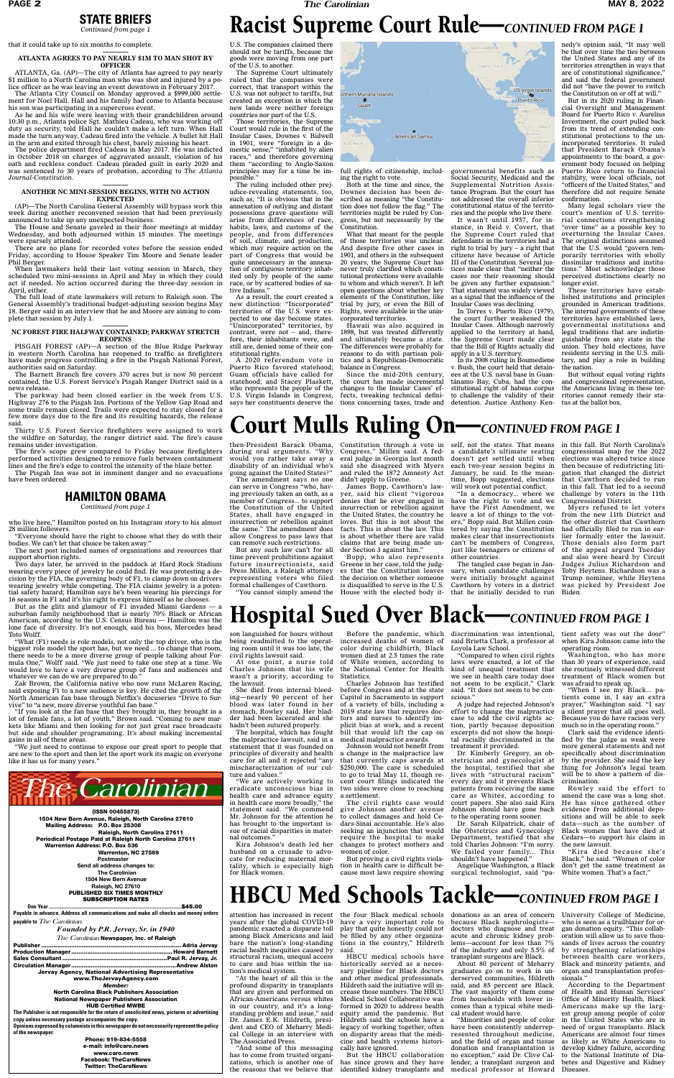

(ISSN 00455873) 1504 New Bern Avenue, Raleigh, North Carolina 27610 Mailing Address: P.O. Box 25308 Raleigh, North Carolina 27611 Periodical Postage Paid at Raleigh North Carolina 27611 Warrenton Address: P.O. Box 536 Warrenton, NC 27589 **Postmaster Send all address changes to: The Carolinian 1504 New Bern Avenue Raleigh, NC 27610** PUBLISHED SIX TIMES MONTHLY SUBSCRIPTION RATES

**One Year ..........................................................................................................**\$45.00 **Payable in advance. Address all communications and make all checks and money orders** 

## **payable to The Carolinian.**

*Founded by P.R. Jervay, Sr. in 1940*

### **The Carolinian** Newspaper, Inc. of Raleigh

| The Carolinan Rewspaper, me. or naicign.                                                     |
|----------------------------------------------------------------------------------------------|
| Adria Jervay                                                                                 |
|                                                                                              |
|                                                                                              |
|                                                                                              |
| Jervay Agency, National Advertising Representative                                           |
| www.TheJervayAgency.com                                                                      |
| <b>Member:</b>                                                                               |
| <b>North Carolina Black Publishers Association</b>                                           |
| <b>National Newspaper Publishers Association</b>                                             |
| <b>HUB Certified MWBE</b>                                                                    |
| The Publisher is not responsible for the return of unsolicited news, pictures or advertising |
| copy unless necessary postage accompanies the copy.                                          |
| Opinions expressed by columnists in this newspaper do not necessarily represent the policy   |
| of the newspaper.                                                                            |
| Phone: 919-834-5558                                                                          |
| e-mail: info@caro.news                                                                       |
| www.caro.news                                                                                |
| <b>Facebook: TheCaroNews</b>                                                                 |

Twitter: TheCaroNews

that it could take up to six months to complete.

### **———— ATLANTA AGREES TO PAY NEARLY \$1M TO MAN SHOT BY OFFICER**

ATLANTA, Ga. (AP)—The city of Atlanta has agreed to pay nearly \$1 million to a North Carolina man who was shot and injured by a police officer as he was leaving an event downtown in February 2017.

The Atlanta City Council on Monday approved a \$999,000 settlement for Noel Hall. Hall and his family had come to Atlanta because his son was participating in a supercross event.

As he and his wife were leaving with their grandchildren around 10:30 p.m., Atlanta police Sgt. Mathieu Cadeau, who was working off duty as security, told Hall he couldn't make a left turn. When Hall made the turn anyway, Cadeau fired into the vehicle. A bullet hit Hall in the arm and exited through his chest, barely missing his heart.

The police department fired Cadeau in May 2017. He was indicted in October 2018 on charges of aggravated assault, violation of his oath and reckless conduct. Cadeau pleaded guilt in early 2020 and was sentenced to 30 years of probation, according to *The Atlanta Journal-Constitution*.

### **———— ANOTHER NC MINI-SESSION BEGINS, WITH NO ACTION EXPECTED**

(AP)—The North Carolina General Assembly will bypass work this week during another reconvened session that had been previously announced to take up any unexpected business.

The House and Senate gaveled in their floor meetings at midday Wednesday, and both adjourned within 15 minutes. The meetings were sparsely attended.

There are no plans for recorded votes before the session ended Friday, according to House Speaker Tim Moore and Senate leader Phil Berger.

When lawmakers held their last voting session in March, they scheduled two mini-sessions in April and May in which they could act if needed. No action occurred [during the three-day session in](https://apnews.com/article/phil-berger-north-carolina-57588d083b435eb1cc8351172f5ef4d5) [April,](https://apnews.com/article/phil-berger-north-carolina-57588d083b435eb1cc8351172f5ef4d5) either.

The full load of state lawmakers will return to Raleigh soon. The General Assembly's traditional budget-adjusting session begins May 18. Berger said in an interview that he and Moore are aiming to complete that session by July 1.

### **———— NC FOREST FIRE HALFWAY CONTAINED; PARKWAY STRETCH REOPENS**

PISGAH FOREST (AP)—A section of the Blue Ridge Parkway in western North Carolina has reopened to traffic as firefighters have made progress controlling a fire in the Pisgah National Forest, authorities said on Saturday.

The Barnett Branch fire covers 370 acres but is now 50 percent contained, the U.S. Forest Service's Pisgah Ranger District said in a news release.

The parkway had been closed earlier in the week from U.S. Highway 276 to the Pisgah Inn. Portions of the Yellow Gap Road and some trails remain closed. Trails were expected to stay closed for a few more days due to the fire and its resulting hazards, the release said.

In Torres v. Puerto Rico (1979), the court further weakened the Insular Cases. Although narrowly applied to the territory at hand, the Supreme Court made clear that the Bill of Rights actually did apply in a U.S. territory.

Thirty U.S. Forest Service firefighters were assigned to work the wildfire on Saturday, the ranger district said. The fire's cause remains under investigation.

The fire's scope grew compared to Friday because firefighters performed activities designed to remove fuels between containment lines and the fire's edge to control the intensity of the blaze better.

The Pisgah Inn was not in imminent danger and no evacuations have been ordered.

# **STATE BRIEFS**

U.S. The companies claimed there should not be tariffs, because the goods were moving from one part of the U.S. to another.

The Supreme Court ultimately ruled that the companies were correct, that transport within the U.S. was not subject to tariffs, but created an exception in which the new lands were neither foreign countries nor part of the U.S.

Those territories, the Supreme Court would rule in the first of the Insular Cases, Downes v. Bidwell in 1901, were "foreign in a domestic sense," "inhabited by alien races," and therefore governing them "according to Anglo-Saxon principles may for a time be impossible."

The ruling included other prejudice-revealing statements, too, such as, "It is obvious that in the annexation of outlying and distant possessions grave questions will arise from differences of race, habits, laws, and customs of the people, and from differences of soil, climate, and production, which may require action on the part of Congress that would be quite unnecessary in the annexation of contiguous territory inhabited only by people of the same race, or by scattered bodies of native Indians."

As a result, the court created a new distinction: "Incorporated" territories of the U.S. were expected to one day become states. "Unincorporated" territories, by contrast, were not – and, therefore, their inhabitants were, and still are, denied some of their constitutional rights.

A 2020 referendum vote in Puerto Rico favored statehood; Guam officials have called for statehood; and Stacey Plaskett, who represents the people of the U.S. Virgin Islands in Congress, says her constituents deserve the



full rights of citizenship, including the right to vote.

Both at the time and since, the Downes decision has been described as meaning "the Constitution does not follow the flag." The territories might be ruled by Congress, but not necessarily by the Constitution.

The hospital, which has fought the malpractice lawsuit, said in a statement that it was founded on principles of diversity and health care for all and it rejected "any mischaracterization of our culture and values.'

What that meant for the people of those territories was unclear. And despite five other cases in 1901, and others in the subsequent 20 years, the Supreme Court has never truly clarified which constitutional protections were available to whom and which weren't. It left open questions about whether key elements of the Constitution, like trial by jury, or even the Bill of Rights, were available in the unincorporated territories.

Hawaii was also acquired in 1898, but was treated differently and ultimately became a state. The differences were probably for reasons to do with partisan politics and a Republican-Democratic balance in Congress.

Since the mid-20th century, the court has made incremental changes to the Insular Cases' effects, tweaking technical definitions concerning taxes, trade and

governmental benefits such as Social Security, Medicaid and the Supplemental Nutrition Assistance Program. But the court has not addressed the overall inferior constitutional status of the territories and the people who live there.

It wasn't until 1957, for instance, in Reid v. Covert, that the Supreme Court ruled that defendants in the territories had a right to trial by jury – a right that citizens have because of Article III of the Constitution. Several justices made clear that "neither the cases nor their reasoning should be given any further expansion." That statement was widely viewed as a signal that the influence of the Insular Cases was declining.

In its 2008 ruling in Boumediene v. Bush, the court held that detainees at the U.S. naval base in Guantánamo Bay, Cuba, had the constitutional right of habeas corpus to challenge the validity of their detention. Justice Anthony Ken-

nedy's opinion said, "It may well be that over time the ties between the United States and any of its territories strengthen in ways that are of constitutional significance," and said the federal government did not "have the power to switch the Constitution on or off at will."

But in its 2020 ruling in Financial Oversight and Management Board for Puerto Rico v. Aurelius Investment, the court pulled back from its trend of extending constitutional protections to the unincorporated territories. It ruled that President Barack Obama's appointments to the board, a government body focused on helping Puerto Rico return to financial stability, were local officials, not "officers of the United States," and therefore did not require Senate confirmation.

Many legal scholars view the court's mention of U.S. territorial connections strengthening "over time" as a possible key to overturning the Insular Cases. The original distinctions assumed that the U.S. would "govern temporarily territories with wholly dissimilar traditions and institutions." Most acknowledge those perceived distinctions clearly no longer exist.

These territories have established institutions and principles grounded in American traditions. The internal governments of these territories have established laws, governmental institutions and legal traditions that are indistinguishable from any state in the union. They hold elections, have residents serving in the U.S. military, and play a role in building the nation.

"Everyone should have the right to choose what they do with their bodies. We can't let that choice be taken away.'

But without equal voting rights and congressional representation, the Americans living in these territories cannot remedy their status at the ballot box.

during oral arguments. "Why would you rather take away a disability of an individual who's going against the United States?"

The amendment says no one can serve in Congress "who, having previously taken an oath, as a member of Congress... to support the Constitution of the United States, shall have engaged in insurrection or rebellion against the same." The amendment does allow Congress to pass laws that can remove such restrictions.

But any such law can't for all time prevent prohibitions against future insurrectionists, said Press Millen, a Raleigh attorney representing voters who filed formal challenges of Cawthorn.

But as the glitz and glamour of  $F1$  invaded Miami Gardens — a suburban family neighborhood that is nearly 70% Black or African American, according to the U.S. Census Bureau — Hamilton was the lone face of diversity. It's not enough, said his boss, Mercedes head Toto Wolff. "What (F1) needs is role models, not only the top driver, who is the biggest role model the sport has, but we need ... to change that room, there needs to be a more diverse group of people talking about Formula One," Wolff said. "We just need to take one step at a time. We would love to have a very diverse group of fans and audiences and whatever we can do we are prepared to do." Zak Brown, the California native who now runs McLaren Racing, said exposing F1 to a new audience is key. He cited the growth of the North American fan base through Netflix's docuseries "Drive to Survive" to "a new, more diverse youthful fan base." "If you look at the fan base that they brought in, they brought in a lot of female fans, a lot of youth," Brown said. "Coming to new markets like Miami and then looking for not just great race broadcasts but side and shoulder programming. It's about making incremental gains in all of these areas.

"We just need to continue to expose our great sport to people that are new to the sport and then let the sport work its magic on everyone like it has us for many years."

# **PIALE BKILFS** Racist Supreme Court Rule—CONTINUED FROM PAGE 1

"You cannot simply amend the

Congress," Millen said. A federal judge in Georgia last month said she disagreed with Myers and ruled the 1872 Amnesty Act didn't apply to Greene.

# Court Mulls Ruling On—*CONTINUED FROM PAGE 1* then-President Barack Obama, Constitution through a vote in self, not the states. That means in this fall. But North Carolina's

James Bopp, Cawthorn's lawyer, said his client "vigorous denies that he ever engaged in insurrection or rebellion against the United States, the country he loves. But this is not about the facts. This is about the law. This is about whether there are valid claims that are being made under Section 3 against him."

Bopp, who also represents Greene in her case, told the judges that the Constitution leaves the decision on whether someone is disqualified to serve in the U.S. House with the elected body it-

a candidate's ultimate seating doesn't get settled until when each two-year session begins in January, he said. In the meantime, Bopp suggested, elections will work out potential conflict.

"In a democracy... where we have the right to vote and we have the First Amendment, we leave a lot of things to the voters," Bopp said. But Millen countered by saying the Constitution makes clear that insurrectionists can't be members of Congress, just like teenagers or citizens of other countries.

congressional map for the 2022 elections was altered twice since then because of redistricting litigation that changed the district that Cawthorn decided to run in this fall. That led to a second challenge by voters in the 11th Congressional District.

The tangled case began in January, when candidate challenges were initially brought against Cawthorn by voters in a district that he initially decided to run Biden.

Myers refused to let voters from the new 11th District and the other district that Cawthorn had officially filed to run in earlier formally enter the lawsuit. Those denials also form part of the appeal argued Tuesday and also were heard by Circuit Judges Julius Richardson and Toby Heytens. Richardson was a Trump nominee, while Heytens was picked by President Joe

Hospital Sued Over Black—*CONTINUED FROM PAGE 1*

son languished for hours without being readmitted to the operating room until it was too late, the civil rights lawsuit said.

At one point, a nurse told Charles Johnson that his wife wasn't a priority, according to the lawsuit.

She died from internal bleeding—nearly 90 percent of her blood was later found in her stomach, Rowley said. Her bladder had been lacerated and she hadn't been sutured properly.

"We are actively working to eradicate unconscious bias in health care and advance equity in health care more broadly," the statement said. "We commend Mr. Johnson for the attention he has brought to the important issue of racial disparities in maternal outcomes."

Kira Johnson's death led her husband on a crusade to advocate for reducing maternal mortality, which is especially high for Black women.

Before the pandemic, which increased deaths of women of color during childbirth, Black women died at 2.5 times the rate of White women, according to the National Center for Health Statistics.

Charles Johnson has testified before Congress and at the state Capitol in Sacramento in support of a variety of bills, including a 2019 state law that requires doctors and nurses to identify implicit bias at work, and a recent bill that would [lift the cap on](https://apnews.com/article/business-health-lawsuits-california-legislature-eb20b9dcb8e678807e9131fc0a29286f)  [medical malpractice awards.](https://apnews.com/article/business-health-lawsuits-california-legislature-eb20b9dcb8e678807e9131fc0a29286f)

Johnson would not benefit from a change in the malpractice law that currently caps awards at \$250,000. The case is scheduled to go to trial May 11, though recent court filings indicated the two sides were close to reaching a settlement.

The civil rights case would give Johnson another avenue to collect damages and hold Cedars-Sinai accountable. He's also seeking an injunction that would require the hospital to make changes to protect mothers and women of color.

But proving a civil rights violation in health care is difficult bediscrimination was intentional, said Brietta Clark, a professor at Loyola Law School.

"Compared to when civil rights laws were enacted, a lot of the kind of unequal treatment that we see in health care today does not seem to be explicit," Clark said. "It does not seem to be conscious."

A judge had rejected Johnson's effort to change the malpractice case to add the civil rights action, partly because deposition excerpts did not show the hospital racially discriminated in the treatment it provided.

cause most laws require showing surgical technologist, said "pa-Angelique Washington, a Black

Dr. Kimberly Gregory, an obstetrician and gynecologist at the hospital, testified that she lives with "structural racism" every day and it prevents Black patients from receiving the same care as Whites, according to court papers. She also said Kira Johnson should have gone back to the operating room sooner.

Dr. Sarah Kilpatrick, chair of the Obstetrics and Gynecology Department, testified that she told Charles Johnson: "I'm sorry. We failed your family... This shouldn't have happened."

tient safety was out the door" when Kira Johnson came into the operating room.

Washington, who has more than 30 years of experience, said she routinely witnessed different treatment of Black women but was afraid to speak up.

"When I see my Black... patients come in, I say an extra prayer," Washington said. "I say a silent prayer that all goes well. Because you do have racism very much so in the operating room."

Clark said the evidence identified by the judge as weak were more general statements and not specifically about discrimination by the provider. She said the key thing for Johnson's legal team will be to show a pattern of discrimination.

Rowley said the effort to amend the case was a long shot. He has since gathered other evidence from additional depositions and will be able to seek data—such as the number of Black women that have died at Cedars—to support his claim in the new lawsuit.

"Kira died because she's Black," he said. "Women of color don't get the same treatment as White women. That's a fact."

# HBCU Med Schools Tackle—*CONTINUED FROM PAGE 1*

years after the global COVID-19 pandemic exacted [a disparate toll](https://apnews.com/article/health-us-news-ap-top-news-mi-state-wire-virus-outbreak-8a3430dd37e7c44290c7621f5af96d6b) [among Black Americans](https://apnews.com/article/health-us-news-ap-top-news-mi-state-wire-virus-outbreak-8a3430dd37e7c44290c7621f5af96d6b) and laid bare the nation's long-standing racial health inequities caused by structural racism, unequal access to care and bias within the nation's medical system.

"At the heart of all this is the profound disparity in transplants that are given and performed on African-Americans versus whites in our country, and it's a longstanding problem and issue," said Dr. James E.K. Hildreth, president and CEO of Meharry Medical College in an interview with The Associated Press.

"And some of this messaging has to come from trusted organizations, which is another one of the reasons that we believe that

attention has increased in recent the four Black medical schools donations as an area of concern University College of Medicine, because Black nephrologists doctors who diagnose and treat acute and chronic kidney problems—account for less than 7% of the industry and only 5.5% of

have a very important role to play that quite honestly could not be filled by any other organizations in the country," Hildreth said.

HBCU medical schools have historically served as a necessary pipeline for Black doctors and other medical professionals. Hildreth said the initiative will increase those numbers. The HBCU Medical School Collaborative was formed in 2020 to address health equity amid the pandemic. But Hildreth said the schools have a legacy of working together, often on disparity areas that the medicine and health systems historically have ignored.

But the HBCU collaboration has since grown and they have identified kidney transplants and

transplant surgeons are Black. About 80 percent of Meharry graduates go on to work in underserved communities, Hildreth said, and 85 percent are Black. The vast majority of them come from households with lower incomes than a typical white medical student would have.

"Minorities and people of color have been consistently underrepresented throughout medicine, and the field of organ and tissue donation and transplantation is no exception," said Dr. Clive Callender, a transplant surgeon and medical professor at Howard

who is seen as a trailblazer for organ donation equity. "This collaboration will allow us to save thousands of lives across the country by strengthening relationships between health care workers, Black and minority patients, and organ and transplantation professionals."

According to the Department of Health and Human Services' Office of Minority Health, Black Americans make up the largest group among people of color in the United States who are in need of organ transplants. Black Americans are almost four times as likely as White Americans to develop kidney failure, according to the National Institute of Diabetes and Digestive and Kidney Diseases.

# **HAMILTON OBAMA**

*Continued from page 1*

who live here," Hamilton posted on his Instagram story to his almost 28 million followers.

The next post included names of organizations and resources that support abortion rights.

Two days later, he arrived in the paddock at Hard Rock Stadium wearing every piece of jewelry he could find. He was protesting a decision by the FIA, the governing body of F1, to clamp down on drivers wearing jewelry while competing. The FIA claims jewelry is a potential safety hazard; Hamilton says he's been wearing his piercings for 16 seasons in F1 and it's his right to express himself as he chooses.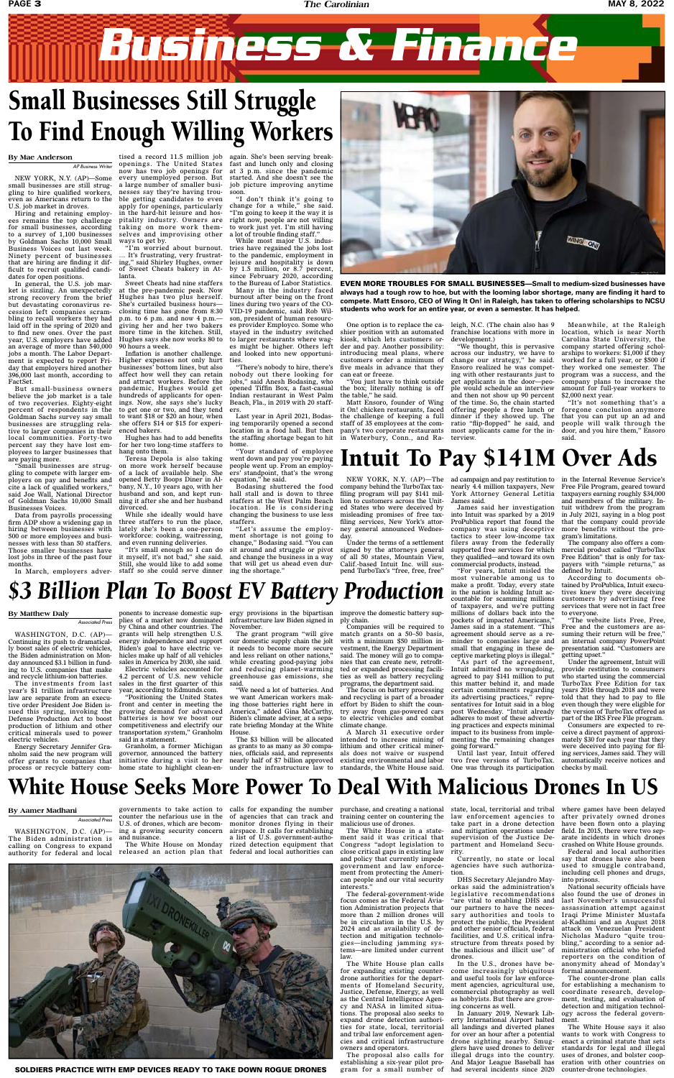## **[By Mae Anderson](https://newsroom.ap.org/home/search/?query=byline:%22Mae Anderson%22&mediaType=text&st=keyword&sortOrder=newest)** [AP Business Writer](https://newsroom.ap.org/home/search/?query=byline:%22Mae Anderson%22&mediaType=text&st=keyword&sortOrder=newest)



NEW YORK, N.Y. (AP)—Some small businesses are still struggling to hire qualified workers, even as Americans return to the U.S. job market in droves.

Hiring and retaining employees remains the top challenge for small businesses, according to a survey of 1,100 businesses by Goldman Sachs 10,000 Small Business Voices out last week. Ninety percent of businesses ficult to recruit qualified candidates for open positions.

In general, the U.S. job market is sizzling. An unexpectedly strong recovery from the brief but devastating coronavirus recession left companies scrambling to recall workers they had laid off in the spring of 2020 and to find new ones. Over the past year, U.S. employers have added an average of more than 540,000 jobs a month. The Labor Department is expected to report Friday that employers hired another 396,000 last month, according to FactSet.

openings. The United States now has two job openings for every unemployed person. But a large number of smaller businesses say they're having trouble getting candidates to even apply for openings, particularly in the hard-hit leisure and hospitality industry. Owners are taking on more work themselves and improvising other

But small-business owners believe the job market is a tale of two recoveries. Eighty-eight percent of respondents in the Goldman Sachs survey say small businesses are struggling relative to larger companies in their local communities. Forty-two percent say they have lost employees to larger businesses that hang onto them. are paying more.

that are hiring are finding it dif-ing," said Shirley Hughes, owner ways to get by. "I'm worried about burnout. … It's frustrating, very frustratof Sweet Cheats bakery in Atlanta.

"Small businesses are struggling to compete with larger employers on pay and benefits and cite a lack of qualified workers," said Joe Wall, National Director husband and son, and kept runof Goldman Sachs 10,000 Small Businesses Voices.

Data from payrolls processing firm ADP show a widening gap in hiring between businesses with 500 or more employees and businesses with less than 50 staffers. Those smaller businesses have lost jobs in three of the past four months.

In March, employers adver- staff so she could serve dinner ing the shortage." "It's small enough so I can do it myself, it's not bad," she said. Still, she would like to add some

Sweet Cheats had nine staffers at the pre-pandemic peak. Now Hughes has two plus herself. She's curtailed business hours closing time has gone from 8:30 p.m. to 6 p.m. and now 4 p.m. giving her and her two bakers more time in the kitchen. Still, Hughes says she now works 80 to 90 hours a week.

tised a record 11.5 million job again. She's been serving breakfast and lunch only and closing at 3 p.m. since the pandemic started. And she doesn't see the job picture improving anytime soon.

Inflation is another challenge. Higher expenses not only hurt businesses' bottom lines, but also affect how well they can retain and attract workers. Before the pandemic, Hughes would get hundreds of applicants for openings. Now, she says she's lucky to get one or two, and they tend to want \$18 or \$20 an hour, when she offers \$14 or \$15 for experienced bakers.

Hughes has had to add benefits for her two long-time staffers to

Teresa Depola is also taking on more work herself because of a lack of available help. She opened Betty Boops Diner in Albany, N.Y., 10 years ago, with her ning it after she and her husband divorced.

While she ideally would have three staffers to run the place, lately she's been a one-person workforce: cooking, waitressing, and even running deliveries.

"I don't think it's going to change for a while," she said. "I'm going to keep it the way it is right now, people are not willing to work just yet. I'm still having a lot of trouble finding staff."

While most major U.S. industries have regained the jobs lost to the pandemic, employment in leisure and hospitality is down by 1.5 million, or 8.7 percent, since February 2020, according to the Bureau of Labor Statistics.

Many in the industry faced burnout after being on the front lines during two years of the CO-VID-19 pandemic, said Rob Wilson, president of human resources provider Employco. Some who stayed in the industry switched to larger restaurants where wages might be higher. Others left and looked into new opportunities.

"There's nobody to hire, there's nobody out there looking for jobs," said Anesh Bodasing, who opened Tiffin Box, a fast-casual Indian restaurant in West Palm Beach, Fla., in 2019 with 20 staffers.

Last year in April 2021, Bodasing temporarily opened a second location in a food hall. But then the staffing shortage began to hit home.

"Your standard of employee went down and pay you're paying people went up. From an employers' standpoint, that's the wrong equation," he said.

Bodasing shuttered the food hall stall and is down to three staffers at the West Palm Beach location. He is considering changing the business to use less staffers.

"Let's assume the employment shortage is not going to change," Bodasing said. "You can sit around and struggle or pivot and change the business in a way that will get us ahead even dur-

shier position with an automated kiosk, which lets customers order and pay. Another possibility: introducing meal plans, where customers order a minimum of five meals in advance that they can eat or freeze.

"You just have to think outside the box; literally nothing is off the table," he said.

One option is to replace the ca-leigh, N.C. (The chain also has 9 franchise locations with more in development.)

Matt Ensoro, founder of Wing it On! chicken restaurants, faced the challenge of keeping a full staff of 35 employees at the company's two corporate restaurants most applicants came for the inin Waterbury, Conn., and Ra-

"We thought, this is pervasive across our industry, we have to change our strategy," he said. Ensoro realized he was competing with other restaurants just to get applicants in the door—people would schedule an interview and then not show up 90 percent of the time. So, the chain started offering people a free lunch or dinner if they showed up. The ratio "flip-flopped" he said, and

terview.

Until last year, Intuit offered existing environmental and labor two free versions of TurboTax. standards, the White House said. One was through its participation checks by mail.

Meanwhile, at the Raleigh location, which is near North Carolina State University, the company started offering scholarships to workers: \$1,000 if they worked for a full year, or \$500 if they worked one semester. The program was a success, and the company plans to increase the amount for full-year workers to \$2,000 next year.

"It's not something that's a foregone conclusion anymore that you can put up an ad and people will walk through the door, and you hire them," Ensoro said.

# Small Businesses Still Struggle To Find Enough Willing Workers

suming their return will be free, an internal company PowerPoint presentation said. "Customers are getting upset."



EVEN MORE TROUBLES FOR SMALL BUSINESSES—**Small to medium-sized businesses have always had a tough row to hoe, but with the looming labor shortage, many are finding it hard to compete. Matt Ensoro, CEO of Wing It On! in Raleigh, has taken to offering scholarships to NCSU students who work for an entire year, or even a semester. It has helped.**

### **[By Aamer Madhani](https://newsroom.ap.org/home/search/?query=byline:%22AAMER MADHANI%22&mediaType=text&st=keyword&sortOrder=newest)**

[Associated Press](https://newsroom.ap.org/home/search/?query=byline:%22AAMER MADHANI%22&mediaType=text&st=keyword&sortOrder=newest)

WASHINGTON, D.C. (AP)— The Biden administration is calling on Congress to expand authority for federal and local

governments to take action to calls for expanding the number counter the nefarious use in the of agencies that can track and U.S. of drones, which are becom-monitor drones flying in their ing a growing security concern airspace. It calls for establishing and nuisance.

The White House on Monday rized detection equipment that released an action plan that federal and local authorities can

a list of U.S. government-autho-

training center on countering the malicious use of drones. The White House in a state-

ment said it was critical that Congress "adopt legislation to close critical gaps in existing law and policy that currently impede government and law enforcement from protecting the American people and our vital security interests."

The federal-government-wide focus comes as the Federal Aviation Administration projects that more than 2 million drones will be in circulation in the U.S. by 2024 and as availability of detection and mitigation technologies—including jamming systems—are limited under current law.

purchase, and creating a national state, local, territorial and tribal law enforcement agencies to take part in a drone detection and mitigation operations under supervision of the Justice Department and Homeland Security.

The White House plan calls for expanding existing counterdrone authorities for the departments of Homeland Security, Justice, Defense, Energy, as well as the Central Intelligence Agency and NASA in limited situations. The proposal also seeks to expand drone detection authorities for state, local, territorial and tribal law enforcement agencies and critical infrastructure owners and operators.

Currently, no state or local agencies have such authorization.

DHS Secretary Alejandro Mayorkas said the administration's legislative recommendations "are vital to enabling DHS and our partners to have the necessary authorities and tools to protect the public, the President and other senior officials, federal facilities, and U.S. critical infrastructure from threats posed by the malicious and illicit use" of drones.

The proposal also calls for establishing a six-year pilot pro-And Major League Baseball has

gram for a small number of had several incidents since 2020 In January 2019, Newark Liberty International Airport halted all landings and diverted planes for over an hour after a potential drone sighting nearby. Smugglers have used drones to deliver illegal drugs into the country.

In the U.S., drones have become increasingly ubiquitous and useful tools for law enforcement agencies, agricultural use, commercial photography as well as hobbyists. But there are growing concerns as well.

where games have been delayed after privately owned drones have been flown onto a playing field. In 2015, there were two separate incidents in which drones crashed on White House grounds.

Federal and local authorities say that drones have also been used to smuggle contraband, including cell phones and drugs, into prisons.

National security officials have also found the use of drones in last November's unsuccessful [assassination attempt against](https://apnews.com/article/middle-east-fires-iraq-baghdad-embassies-4069e75a45ee9b4eaa5e93648fa15211)  [Iraqi Prime Minister Mustafa](https://apnews.com/article/middle-east-fires-iraq-baghdad-embassies-4069e75a45ee9b4eaa5e93648fa15211) [al-Kadhimi](https://apnews.com/article/middle-east-fires-iraq-baghdad-embassies-4069e75a45ee9b4eaa5e93648fa15211) and an [August 2018](https://apnews.com/article/caribbean-ap-top-news-venezuela-international-news-assassinations-ba6e6ef53ea34030b1e1b4c5fca79a6d) [attack on Venezuelan President](https://apnews.com/article/caribbean-ap-top-news-venezuela-international-news-assassinations-ba6e6ef53ea34030b1e1b4c5fca79a6d) [Nicholas Maduro](https://apnews.com/article/caribbean-ap-top-news-venezuela-international-news-assassinations-ba6e6ef53ea34030b1e1b4c5fca79a6d) "quite troubling," according to a senior administration official who briefed reporters on the condition of anonymity ahead of Monday's formal announcement.

The counter-drone plan calls for establishing a mechanism to coordinate research, development, testing, and evaluation of detection and mitigation technology across the federal government.

The White House says it also wants to work with Congress to enact a criminal statute that sets standards for legal and illegal uses of drones, and bolster cooperation with other countries on counter-drone technologies.



# White House Seeks More Power To Deal With Malicious Drones In US

SOLDIERS PRACTICE WITH EMP DEVICES READY TO TAKE DOWN ROGUE DRONES

company behind the TurboTax taxfiling program will pay \$141 million to customers across the United States who were deceived by misleading promises of free taxfiling services, New York's attorney general announced Wednesday.

NEW YORK, N.Y. (AP)—The ad campaign and pay restitution to nearly 4.4 million taxpayers, New York Attorney General Letitia James said.

Under the terms of a settlement signed by the attorneys general of all 50 states, Mountain View, Calif.-based Intuit Inc. will suspend TurboTax's "free, free, free"

James said her investigation into Intuit was sparked by a 2019 ProPublica report that found the company was [using deceptive](https://www.propublica.org/article/inside-turbotax-20-year-fight-to-stop-americans-from-filing-their-taxes-for-free) [tactics](https://www.propublica.org/article/inside-turbotax-20-year-fight-to-stop-americans-from-filing-their-taxes-for-free) to steer low-income tax filers away from the federally supported free services for which they qualified—and toward its own commercial products, instead.

"For years, Intuit misled the most vulnerable among us to make a profit. Today, every state in the nation is holding Intuit accountable for scamming millions of taxpayers, and we're putting millions of dollars back into the pockets of impacted Americans," James said in a statement. "This agreement should serve as a reminder to companies large and small that engaging in these deceptive marketing ploys is illegal." "As part of the agreement, Intuit admitted no wrongdoing, agreed to pay \$141 million to put this matter behind it, and made certain commitments regarding its advertising practices," representatives for Intuit said in a blog post Wednesday. "Intuit already adheres to most of these advertising practices and expects minimal impact to its business from implementing the remaining changes going forward."

in the Internal Revenue Service's Free File Program, geared toward taxpayers earning roughly \$34,000 and members of the military. Intuit withdrew from the program in July 2021, saying in a blog post that the company could provide more benefits without the pro-

gram's limitations.

The company also offers a commercial product called "TurboTax Free Edition" that is only for taxpayers with "simple returns," as defined by Intuit.

According to documents obtained by ProPublica, Intuit executives knew they were deceiving customers by advertising free services that were not in fact free to everyone.

"The website lists Free, Free, Free and the customers are as-

Under the agreement, Intuit will provide restitution to consumers who started using the commercial TurboTax Free Edition for tax years 2016 through 2018 and were told that they had to pay to file even though they were eligible for the version of TurboTax offered as part of the IRS Free File program.

Consumers are expected to receive a direct payment of approximately \$30 for each year that they were deceived into paying for filing services, James said. They will automatically receive notices and

**[By Matthew Daly](https://newsroom.ap.org/home/search/?query=byline:%22MATTHEW DALY%22&mediaType=text&st=keyword&sortOrder=newest)**

[Associated Press](https://newsroom.ap.org/home/search/?query=byline:%22MATTHEW DALY%22&mediaType=text&st=keyword&sortOrder=newest)

WASHINGTON, D.C. (AP)— Continuing its push to dramatically boost sales of electric vehicles, the Biden administration on Monday announced \$3.1 billion in funding to U.S. companies that make and recycle lithium-ion batteries.

The investments from last year's \$1 trillion infrastructure law are separate from an executive order President Joe Biden issued this spring, [invoking the](https://apnews.com/article/biden-technology-business-trending-news-environment-04e20d148dc50c09831d2530d1fd2f8e)  [Defense Production Act to boost](https://apnews.com/article/biden-technology-business-trending-news-environment-04e20d148dc50c09831d2530d1fd2f8e)  [production of lithium](https://apnews.com/article/biden-technology-business-trending-news-environment-04e20d148dc50c09831d2530d1fd2f8e) and other competitiveness and electrify our critical minerals used to power electric vehicles.

Energy Secretary Jennifer Granholm said the new program will

grants will help strengthen U.S. energy independence and support Biden's goal to have electric vehicles make up half of all vehicles sales in America by 2030, she said. Electric vehicles accounted for 4.2 percent of U.S. new vehicle sales in the first quarter of this year, according to Edmunds.com.

by China and other countries. The [November.](https://apnews.com/article/joe-biden-congress-infrastructure-bill-signing-b5b8cca843133de060778f049861b144)

"Positioning the United States front and center in meeting the growing demand for advanced batteries is how we boost our transportation system," Granholm said in a statement.

Granholm, a former Michigan governor, announced the battery

offer grants to companies that initiative during a visit to her nearly half of \$7 billion approved process or recycle battery com-home state to highlight clean-en-under the infrastructure law to The \$3 billion will be allocated as grants to as many as 30 companies, officials said, and represents

ponents to increase domestic sup-ergy provisions in the [bipartisan](https://apnews.com/article/joe-biden-congress-infrastructure-bill-signing-b5b8cca843133de060778f049861b144) improve the domestic battery supplies of a market now dominated [infrastructure law Biden signed in](https://apnews.com/article/joe-biden-congress-infrastructure-bill-signing-b5b8cca843133de060778f049861b144) ply chain.

The grant program "will give our domestic supply chain the jolt it needs to become more secure and less reliant on other nations,'' while creating good-paying jobs and reducing planet-warming greenhouse gas emissions, she said.

"We need a lot of batteries. And we want American workers making those batteries right here in America,'' added Gina McCarthy, Biden's climate adviser, at a separate briefing Monday at the White House.

Companies will be required to

match grants on a 50–50 basis, with a minimum \$50 million investment, the Energy Department said. The money will go to companies that can create new, retrofitted or expanded processing facilities as well as battery recycling programs, the department said.

The focus on battery processing and recycling is part of a broader effort by Biden to shift the country away from gas-powered cars to electric vehicles and combat climate change.

A March 31 executive order intended to increase mining of lithium and other critical minerals does not waive or suspend

# *\$3 Billion Plan To Boost EV Battery Production*

# Intuit To Pay \$141M Over Ads